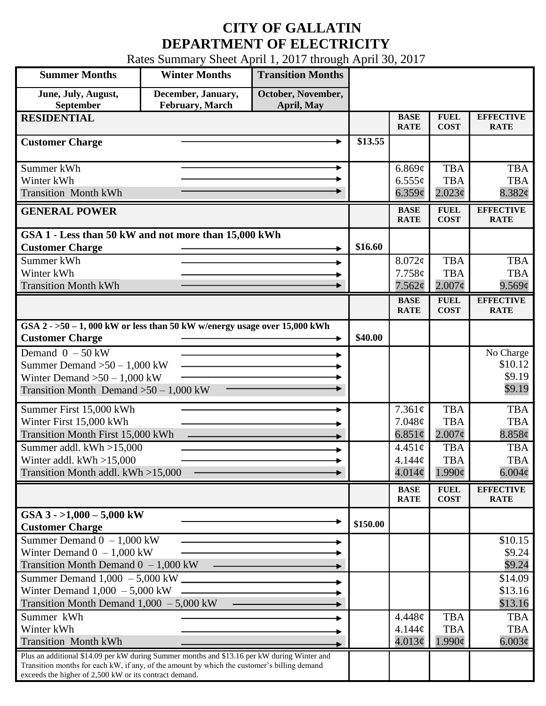## **CITY OF GALLATIN DEPARTMENT OF ELECTRICITY**

Rates Summary Sheet April 1, 2017 through April 30, 2017

| <b>Summer Months</b>                                                                                                                                  | <b>Winter Months</b>                  | <b>Transition Months</b>         |          |                            |                            |                                 |
|-------------------------------------------------------------------------------------------------------------------------------------------------------|---------------------------------------|----------------------------------|----------|----------------------------|----------------------------|---------------------------------|
| June, July, August,<br>September                                                                                                                      | December, January,<br>February, March | October, November,<br>April, May |          |                            |                            |                                 |
| <b>RESIDENTIAL</b>                                                                                                                                    |                                       |                                  |          | <b>BASE</b>                | <b>FUEL</b>                | <b>EFFECTIVE</b>                |
|                                                                                                                                                       |                                       |                                  |          | <b>RATE</b>                | <b>COST</b>                | <b>RATE</b>                     |
| <b>Customer Charge</b>                                                                                                                                |                                       |                                  | \$13.55  |                            |                            |                                 |
| Summer kWh                                                                                                                                            |                                       | ۰                                |          | 6.869¢                     | <b>TBA</b>                 | <b>TBA</b>                      |
| Winter kWh                                                                                                                                            |                                       |                                  |          | $6.555\sigma$              | <b>TBA</b>                 | <b>TBA</b>                      |
| <b>Transition Month kWh</b>                                                                                                                           |                                       |                                  |          | $6.359\mathcal{C}$         | $2.023\epsilon$            | 8.382¢                          |
| <b>GENERAL POWER</b>                                                                                                                                  |                                       |                                  |          | <b>BASE</b><br><b>RATE</b> | <b>FUEL</b><br><b>COST</b> | <b>EFFECTIVE</b><br><b>RATE</b> |
| GSA 1 - Less than 50 kW and not more than 15,000 kWh                                                                                                  |                                       |                                  |          |                            |                            |                                 |
| <b>Customer Charge</b>                                                                                                                                |                                       |                                  | \$16.60  |                            |                            |                                 |
| Summer kWh                                                                                                                                            |                                       |                                  |          | 8.072¢                     | <b>TBA</b>                 | <b>TBA</b>                      |
| Winter kWh                                                                                                                                            |                                       |                                  |          | 7.758¢                     | <b>TBA</b>                 | <b>TBA</b>                      |
| <b>Transition Month kWh</b>                                                                                                                           |                                       |                                  |          | 7.562¢                     | $2.007\text{c}$            | $9.569\mathcal{C}$              |
|                                                                                                                                                       |                                       |                                  |          | <b>BASE</b>                | <b>FUEL</b>                | <b>EFFECTIVE</b>                |
|                                                                                                                                                       |                                       |                                  |          | <b>RATE</b>                | <b>COST</b>                | <b>RATE</b>                     |
| GSA $2 - 50 - 1$ , 000 kW or less than 50 kW w/energy usage over 15,000 kWh<br><b>Customer Charge</b>                                                 |                                       |                                  | \$40.00  |                            |                            |                                 |
| Demand $0 - 50$ kW                                                                                                                                    |                                       |                                  |          |                            |                            | No Charge                       |
| Summer Demand $>50 - 1,000$ kW                                                                                                                        |                                       |                                  |          |                            |                            | \$10.12                         |
| Winter Demand $>50-1,000$ kW                                                                                                                          |                                       |                                  |          |                            | \$9.19                     |                                 |
| Transition Month Demand $>50-1,000$ kW                                                                                                                |                                       |                                  |          |                            | \$9.19                     |                                 |
| Summer First 15,000 kWh                                                                                                                               |                                       |                                  |          | 7.361¢                     | <b>TBA</b>                 | <b>TBA</b>                      |
| Winter First 15,000 kWh                                                                                                                               |                                       |                                  |          | 7.048¢                     | <b>TBA</b>                 | <b>TBA</b>                      |
| Transition Month First 15,000 kWh                                                                                                                     |                                       |                                  |          | 6.851 $\phi$               | $2.007\phi$                | 8.858¢                          |
| Summer addl. kWh >15,000                                                                                                                              |                                       |                                  |          | $4.451\phi$                | <b>TBA</b>                 | <b>TBA</b>                      |
| Winter addl. $kWh > 15,000$                                                                                                                           |                                       |                                  |          | 4.144¢                     | <b>TBA</b>                 | <b>TBA</b>                      |
| Transition Month addl. kWh >15,000                                                                                                                    |                                       |                                  |          | 4.014 $\phi$               | $1.990\phi$                | $6.004\phi$                     |
|                                                                                                                                                       |                                       |                                  |          |                            |                            |                                 |
|                                                                                                                                                       |                                       |                                  |          | <b>BASE</b><br><b>RATE</b> | <b>FUEL</b><br><b>COST</b> | <b>EFFECTIVE</b><br><b>RATE</b> |
| GSA $3 - 1,000 - 5,000$ kW                                                                                                                            |                                       |                                  | \$150.00 |                            |                            |                                 |
| <b>Customer Charge</b>                                                                                                                                |                                       |                                  |          |                            |                            |                                 |
| Summer Demand $0 - 1,000$ kW                                                                                                                          |                                       |                                  |          |                            |                            | \$10.15                         |
| Winter Demand $0 - 1,000$ kW                                                                                                                          |                                       |                                  |          |                            |                            | \$9.24                          |
| Transition Month Demand $0 - 1,000$ kW                                                                                                                |                                       |                                  |          |                            |                            | \$9.24                          |
| Summer Demand $1,000 - 5,000$ kW _______                                                                                                              |                                       |                                  |          |                            |                            | \$14.09                         |
| Winter Demand $1,000 - 5,000$ kW                                                                                                                      |                                       |                                  |          |                            |                            | \$13.16                         |
| Transition Month Demand $1,000 - 5,000$ kW                                                                                                            |                                       |                                  |          |                            |                            | \$13.16                         |
| Summer kWh                                                                                                                                            |                                       |                                  |          | 4.448¢                     | <b>TBA</b>                 | <b>TBA</b>                      |
| Winter kWh                                                                                                                                            |                                       |                                  |          | 4.144¢                     | <b>TBA</b>                 | <b>TBA</b>                      |
| <b>Transition Month kWh</b>                                                                                                                           |                                       |                                  |          | 4.013¢                     | $1.990\epsilon$            | $6.003\phi$                     |
| Plus an additional \$14.09 per kW during Summer months and \$13.16 per kW during Winter and                                                           |                                       |                                  |          |                            |                            |                                 |
| Transition months for each kW, if any, of the amount by which the customer's billing demand<br>exceeds the higher of 2,500 kW or its contract demand. |                                       |                                  |          |                            |                            |                                 |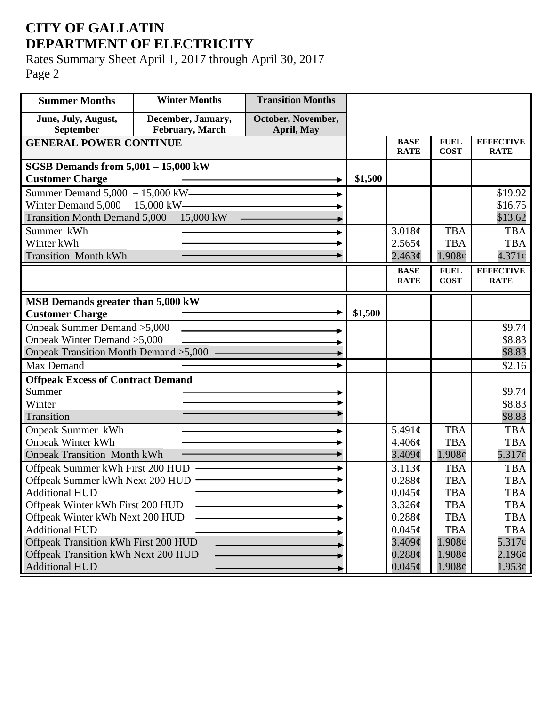## **CITY OF GALLATIN DEPARTMENT OF ELECTRICITY**

Rates Summary Sheet April 1, 2017 through April 30, 2017 Page 2

| <b>Summer Months</b>                                       | <b>Winter Months</b>                  | <b>Transition Months</b>         |         |                            |                            |                                 |
|------------------------------------------------------------|---------------------------------------|----------------------------------|---------|----------------------------|----------------------------|---------------------------------|
| June, July, August,<br>September                           | December, January,<br>February, March | October, November,<br>April, May |         |                            |                            |                                 |
| <b>GENERAL POWER CONTINUE</b>                              |                                       |                                  |         | <b>BASE</b><br><b>RATE</b> | <b>FUEL</b><br><b>COST</b> | <b>EFFECTIVE</b><br><b>RATE</b> |
| SGSB Demands from $5,001 - 15,000$ kW                      |                                       |                                  |         |                            |                            |                                 |
| <b>Customer Charge</b>                                     |                                       |                                  | \$1,500 |                            |                            |                                 |
| Summer Demand 5,000 - 15,000 kW -                          |                                       |                                  |         |                            |                            | \$19.92                         |
| Winter Demand $5,000 - 15,000$ kW——                        |                                       |                                  |         |                            |                            | \$16.75                         |
| Transition Month Demand $5,000 - 15,000$ kW                |                                       |                                  |         |                            |                            | \$13.62                         |
| Summer kWh                                                 |                                       |                                  |         | 3.018¢                     | <b>TBA</b>                 | <b>TBA</b>                      |
| Winter kWh                                                 |                                       |                                  |         | 2.565¢                     | <b>TBA</b>                 | <b>TBA</b>                      |
| <b>Transition Month kWh</b>                                |                                       |                                  |         | 2.463¢                     | 1.908¢                     | $4.371\circ$                    |
|                                                            |                                       |                                  |         | <b>BASE</b><br><b>RATE</b> | <b>FUEL</b><br><b>COST</b> | <b>EFFECTIVE</b><br><b>RATE</b> |
| MSB Demands greater than 5,000 kW                          |                                       |                                  |         |                            |                            |                                 |
| <b>Customer Charge</b>                                     |                                       |                                  | \$1,500 |                            |                            |                                 |
| Onpeak Summer Demand > 5,000                               |                                       |                                  |         |                            |                            | \$9.74                          |
| Onpeak Winter Demand > 5,000                               |                                       |                                  |         |                            |                            | \$8.83                          |
| Onpeak Transition Month Demand > 5,000 -                   |                                       |                                  |         |                            |                            | \$8.83                          |
| Max Demand                                                 |                                       |                                  |         |                            |                            | \$2.16                          |
| <b>Offpeak Excess of Contract Demand</b>                   |                                       |                                  |         |                            |                            |                                 |
| Summer                                                     |                                       |                                  |         |                            |                            | \$9.74                          |
| Winter                                                     |                                       |                                  |         |                            |                            | \$8.83                          |
| Transition                                                 |                                       |                                  |         |                            |                            | \$8.83                          |
| Onpeak Summer kWh                                          |                                       |                                  |         | 5.491c                     | <b>TBA</b>                 | <b>TBA</b>                      |
| <b>Onpeak Winter kWh</b>                                   |                                       |                                  |         | 4.406¢                     | <b>TBA</b>                 | <b>TBA</b>                      |
| <b>Onpeak Transition Month kWh</b>                         |                                       |                                  |         | $3.409\mathcal{C}$         | 1.908c                     | $5.317\phi$                     |
| Offpeak Summer kWh First 200 HUD                           |                                       |                                  |         | 3.113¢                     | <b>TBA</b>                 | <b>TBA</b>                      |
| Offpeak Summer kWh Next 200 HUD -<br><b>Additional HUD</b> |                                       |                                  |         | 0.288¢<br>$0.045\phi$      | <b>TBA</b><br><b>TBA</b>   | <b>TBA</b><br><b>TBA</b>        |
| Offpeak Winter kWh First 200 HUD                           |                                       |                                  |         | 3.326¢                     | <b>TBA</b>                 | <b>TBA</b>                      |
| Offpeak Winter kWh Next 200 HUD                            |                                       |                                  |         | 0.288¢                     | <b>TBA</b>                 | <b>TBA</b>                      |
| <b>Additional HUD</b>                                      |                                       |                                  |         | $0.045\phi$                | <b>TBA</b>                 | <b>TBA</b>                      |
| Offpeak Transition kWh First 200 HUD                       |                                       |                                  |         | 3.409¢                     | $1.908\phi$                | 5.317c                          |
| Offpeak Transition kWh Next 200 HUD                        |                                       |                                  |         | $0.288\ell$                | $1.908\phi$                | 2.196¢                          |
| <b>Additional HUD</b>                                      |                                       |                                  |         | $0.045\phi$                | $1.908\phi$                | $1.953\phi$                     |